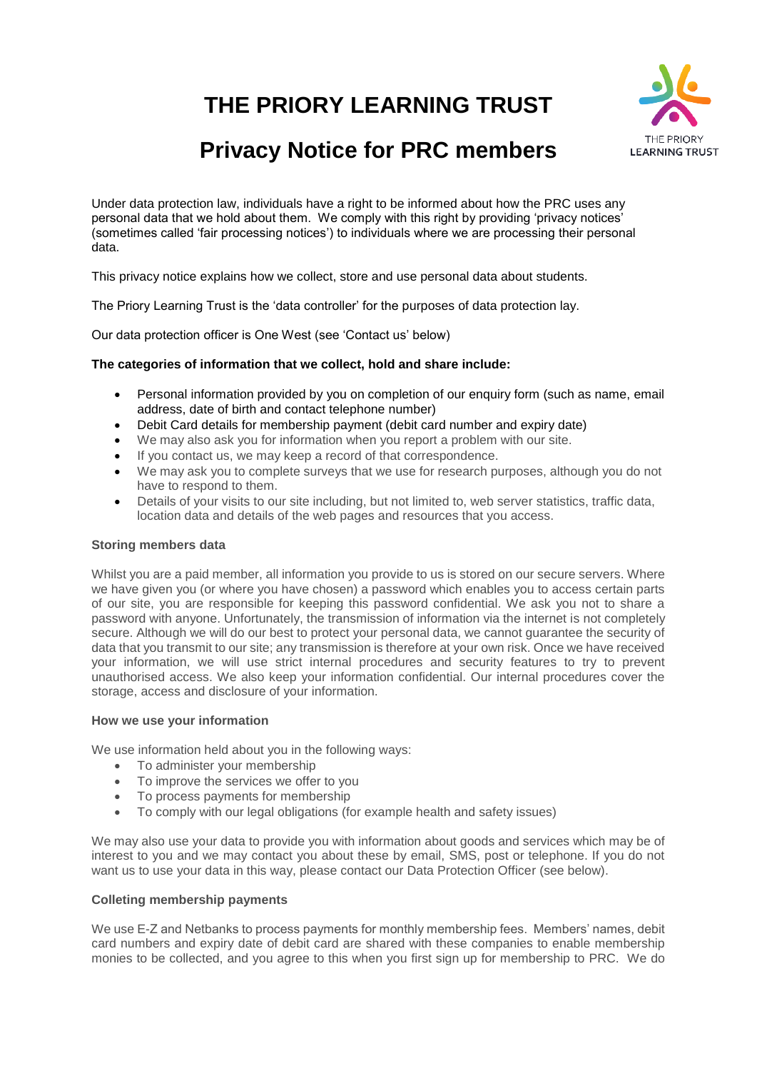**THE PRIORY LEARNING TRUST**



# **Privacy Notice for PRC members**

Under data protection law, individuals have a right to be informed about how the PRC uses any personal data that we hold about them. We comply with this right by providing 'privacy notices' (sometimes called 'fair processing notices') to individuals where we are processing their personal data.

This privacy notice explains how we collect, store and use personal data about students.

The Priory Learning Trust is the 'data controller' for the purposes of data protection lay.

Our data protection officer is One West (see 'Contact us' below)

## **The categories of information that we collect, hold and share include:**

- Personal information provided by you on completion of our enquiry form (such as name, email address, date of birth and contact telephone number)
- Debit Card details for membership payment (debit card number and expiry date)
- We may also ask you for information when you report a problem with our site.
- If you contact us, we may keep a record of that correspondence.
- We may ask you to complete surveys that we use for research purposes, although you do not have to respond to them.
- Details of your visits to our site including, but not limited to, web server statistics, traffic data, location data and details of the web pages and resources that you access.

#### **Storing members data**

Whilst you are a paid member, all information you provide to us is stored on our secure servers. Where we have given you (or where you have chosen) a password which enables you to access certain parts of our site, you are responsible for keeping this password confidential. We ask you not to share a password with anyone. Unfortunately, the transmission of information via the internet is not completely secure. Although we will do our best to protect your personal data, we cannot guarantee the security of data that you transmit to our site; any transmission is therefore at your own risk. Once we have received your information, we will use strict internal procedures and security features to try to prevent unauthorised access. We also keep your information confidential. Our internal procedures cover the storage, access and disclosure of your information.

#### **How we use your information**

We use information held about you in the following ways:

- To administer your membership
- To improve the services we offer to you
- To process payments for membership
- To comply with our legal obligations (for example health and safety issues)

We may also use your data to provide you with information about goods and services which may be of interest to you and we may contact you about these by email, SMS, post or telephone. If you do not want us to use your data in this way, please contact our Data Protection Officer (see below).

#### **Colleting membership payments**

We use E-Z and Netbanks to process payments for monthly membership fees. Members' names, debit card numbers and expiry date of debit card are shared with these companies to enable membership monies to be collected, and you agree to this when you first sign up for membership to PRC. We do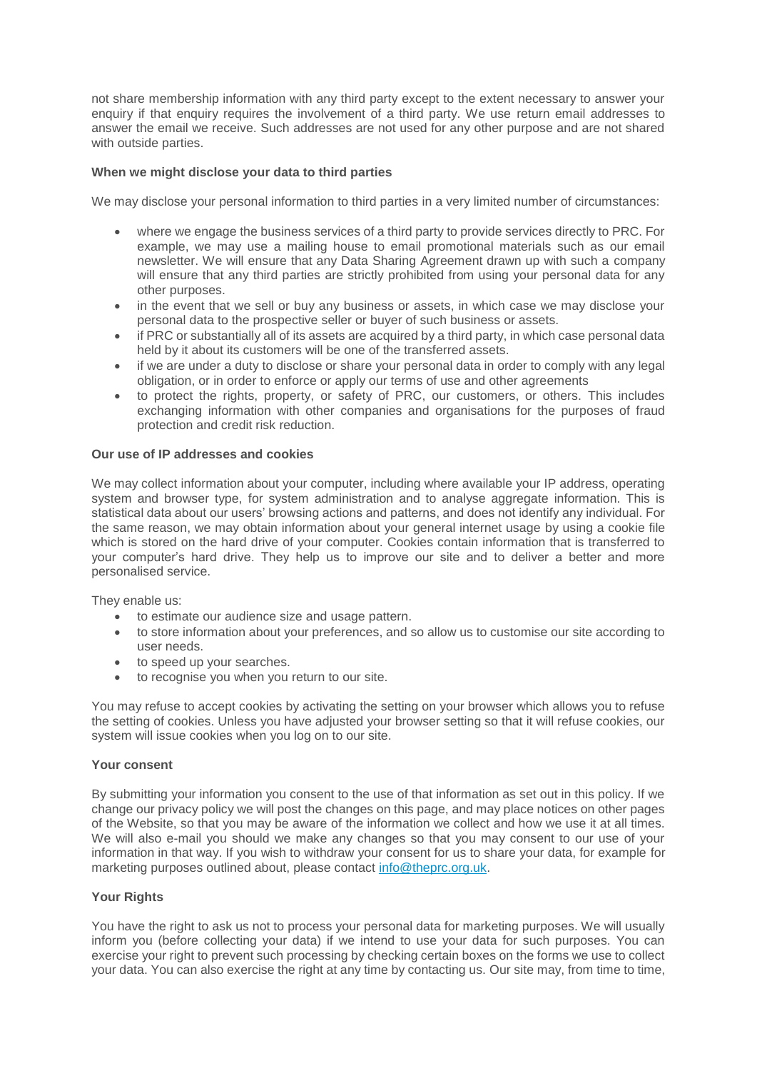not share membership information with any third party except to the extent necessary to answer your enquiry if that enquiry requires the involvement of a third party. We use return email addresses to answer the email we receive. Such addresses are not used for any other purpose and are not shared with outside parties.

## **When we might disclose your data to third parties**

We may disclose your personal information to third parties in a very limited number of circumstances:

- where we engage the business services of a third party to provide services directly to PRC. For example, we may use a mailing house to email promotional materials such as our email newsletter. We will ensure that any Data Sharing Agreement drawn up with such a company will ensure that any third parties are strictly prohibited from using your personal data for any other purposes.
- in the event that we sell or buy any business or assets, in which case we may disclose your personal data to the prospective seller or buyer of such business or assets.
- if PRC or substantially all of its assets are acquired by a third party, in which case personal data held by it about its customers will be one of the transferred assets.
- if we are under a duty to disclose or share your personal data in order to comply with any legal obligation, or in order to enforce or apply our terms of use and other agreements
- to protect the rights, property, or safety of PRC, our customers, or others. This includes exchanging information with other companies and organisations for the purposes of fraud protection and credit risk reduction.

## **Our use of IP addresses and cookies**

We may collect information about your computer, including where available your IP address, operating system and browser type, for system administration and to analyse aggregate information. This is statistical data about our users' browsing actions and patterns, and does not identify any individual. For the same reason, we may obtain information about your general internet usage by using a cookie file which is stored on the hard drive of your computer. Cookies contain information that is transferred to your computer's hard drive. They help us to improve our site and to deliver a better and more personalised service.

They enable us:

- to estimate our audience size and usage pattern.
- to store information about your preferences, and so allow us to customise our site according to user needs.
- to speed up your searches.
- to recognise you when you return to our site.

You may refuse to accept cookies by activating the setting on your browser which allows you to refuse the setting of cookies. Unless you have adjusted your browser setting so that it will refuse cookies, our system will issue cookies when you log on to our site.

#### **Your consent**

By submitting your information you consent to the use of that information as set out in this policy. If we change our privacy policy we will post the changes on this page, and may place notices on other pages of the Website, so that you may be aware of the information we collect and how we use it at all times. We will also e-mail you should we make any changes so that you may consent to our use of your information in that way. If you wish to withdraw your consent for us to share your data, for example for marketing purposes outlined about, please contact [info@theprc.org.uk.](mailto:info@theprc.org.uk)

## **Your Rights**

You have the right to ask us not to process your personal data for marketing purposes. We will usually inform you (before collecting your data) if we intend to use your data for such purposes. You can exercise your right to prevent such processing by checking certain boxes on the forms we use to collect your data. You can also exercise the right at any time by contacting us. Our site may, from time to time,